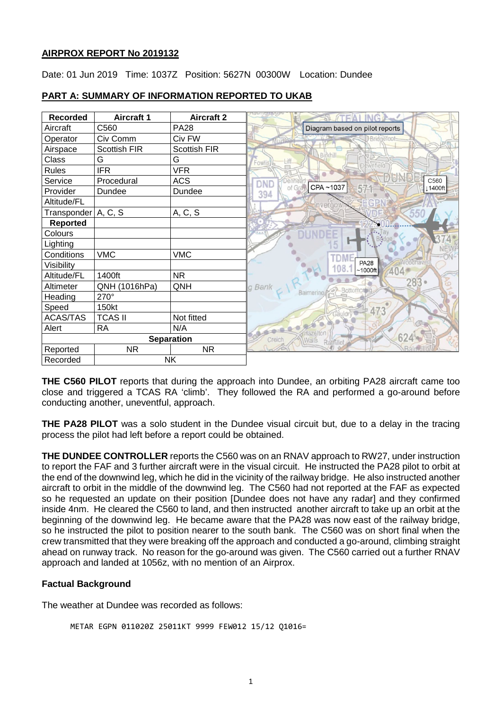#### **AIRPROX REPORT No 2019132**

Date: 01 Jun 2019 Time: 1037Z Position: 5627N 00300W Location: Dundee

| <b>Recorded</b>       | <b>Aircraft 1</b> | <b>Aircraft 2</b>   |                                           |
|-----------------------|-------------------|---------------------|-------------------------------------------|
| Aircraft              | C560              | <b>PA28</b>         | Diagram based on pilot reports            |
| Operator              | Civ Comm          | Civ FW              |                                           |
| Airspace              | Scottish FIR      | <b>Scottish FIR</b> |                                           |
| Class                 | G                 | G                   | Birkhill<br>Liff<br>Fowlis 6<br>hwnfield  |
| <b>Rules</b>          | <b>IFR</b>        | <b>VFR</b>          |                                           |
| Service               | Procedural        | <b>ACS</b>          | C <sub>560</sub><br><b>Denhear</b><br>DND |
| Provider              | Dundee            | Dundee              | CPA~1037<br>of Gra<br>↓1400ft<br>394      |
| Altitude/FL           |                   |                     |                                           |
| Transponder   A, C, S |                   | A, C, S             |                                           |
| <b>Reported</b>       |                   |                     |                                           |
| Colours               |                   |                     |                                           |
| Lighting              |                   |                     |                                           |
| Conditions            | <b>VMC</b>        | <b>VMC</b>          |                                           |
| Visibility            |                   |                     | <b>PA28</b><br>108<br>$~1000$ ft          |
| Altitude/FL           | 1400ft            | <b>NR</b>           | 404                                       |
| Altimeter             | QNH (1016hPa)     | QNH                 | $283 -$<br>g Bank                         |
| Heading               | 270°              |                     |                                           |
| Speed                 | 150kt             |                     | 473                                       |
| <b>ACAS/TAS</b>       | <b>TCAS II</b>    | Not fitted          |                                           |
| Alert                 | <b>RA</b>         | N/A                 |                                           |
| <b>Separation</b>     |                   |                     | 624<br>Creich<br>Walls<br>Rathillet       |
| Reported              | <b>NR</b>         | <b>NR</b>           |                                           |
| <b>NK</b><br>Recorded |                   |                     |                                           |

### **PART A: SUMMARY OF INFORMATION REPORTED TO UKAB**

**THE C560 PILOT** reports that during the approach into Dundee, an orbiting PA28 aircraft came too close and triggered a TCAS RA 'climb'. They followed the RA and performed a go-around before conducting another, uneventful, approach.

**THE PA28 PILOT** was a solo student in the Dundee visual circuit but, due to a delay in the tracing process the pilot had left before a report could be obtained.

**THE DUNDEE CONTROLLER** reports the C560 was on an RNAV approach to RW27, under instruction to report the FAF and 3 further aircraft were in the visual circuit. He instructed the PA28 pilot to orbit at the end of the downwind leg, which he did in the vicinity of the railway bridge. He also instructed another aircraft to orbit in the middle of the downwind leg. The C560 had not reported at the FAF as expected so he requested an update on their position [Dundee does not have any radar] and they confirmed inside 4nm. He cleared the C560 to land, and then instructed another aircraft to take up an orbit at the beginning of the downwind leg. He became aware that the PA28 was now east of the railway bridge, so he instructed the pilot to position nearer to the south bank. The C560 was on short final when the crew transmitted that they were breaking off the approach and conducted a go-around, climbing straight ahead on runway track. No reason for the go-around was given. The C560 carried out a further RNAV approach and landed at 1056z, with no mention of an Airprox.

# **Factual Background**

The weather at Dundee was recorded as follows:

```
METAR EGPN 011020Z 25011KT 9999 FEW012 15/12 Q1016=
```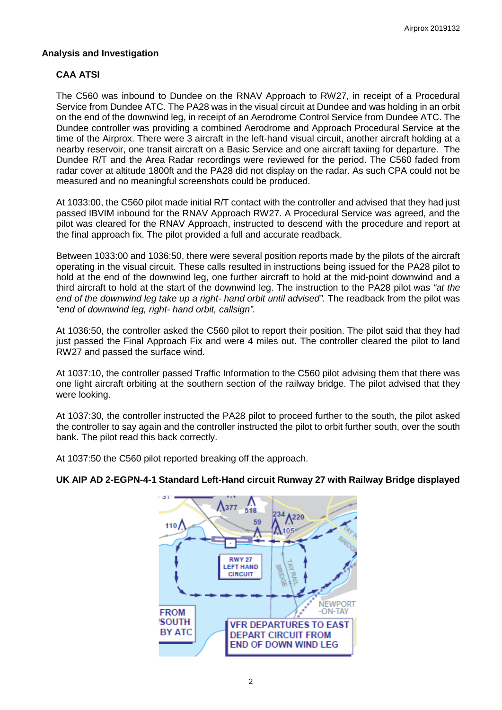#### **Analysis and Investigation**

### **CAA ATSI**

The C560 was inbound to Dundee on the RNAV Approach to RW27, in receipt of a Procedural Service from Dundee ATC. The PA28 was in the visual circuit at Dundee and was holding in an orbit on the end of the downwind leg, in receipt of an Aerodrome Control Service from Dundee ATC. The Dundee controller was providing a combined Aerodrome and Approach Procedural Service at the time of the Airprox. There were 3 aircraft in the left-hand visual circuit, another aircraft holding at a nearby reservoir, one transit aircraft on a Basic Service and one aircraft taxiing for departure. The Dundee R/T and the Area Radar recordings were reviewed for the period. The C560 faded from radar cover at altitude 1800ft and the PA28 did not display on the radar. As such CPA could not be measured and no meaningful screenshots could be produced.

At 1033:00, the C560 pilot made initial R/T contact with the controller and advised that they had just passed IBVIM inbound for the RNAV Approach RW27. A Procedural Service was agreed, and the pilot was cleared for the RNAV Approach, instructed to descend with the procedure and report at the final approach fix. The pilot provided a full and accurate readback.

Between 1033:00 and 1036:50, there were several position reports made by the pilots of the aircraft operating in the visual circuit. These calls resulted in instructions being issued for the PA28 pilot to hold at the end of the downwind leg, one further aircraft to hold at the mid-point downwind and a third aircraft to hold at the start of the downwind leg. The instruction to the PA28 pilot was *"at the end of the downwind leg take up a right- hand orbit until advised".* The readback from the pilot was *"end of downwind leg, right- hand orbit, callsign".*

At 1036:50, the controller asked the C560 pilot to report their position. The pilot said that they had just passed the Final Approach Fix and were 4 miles out. The controller cleared the pilot to land RW27 and passed the surface wind.

At 1037:10, the controller passed Traffic Information to the C560 pilot advising them that there was one light aircraft orbiting at the southern section of the railway bridge. The pilot advised that they were looking.

At 1037:30, the controller instructed the PA28 pilot to proceed further to the south, the pilot asked the controller to say again and the controller instructed the pilot to orbit further south, over the south bank. The pilot read this back correctly.

At 1037:50 the C560 pilot reported breaking off the approach.



# **UK AIP AD 2-EGPN-4-1 Standard Left-Hand circuit Runway 27 with Railway Bridge displayed**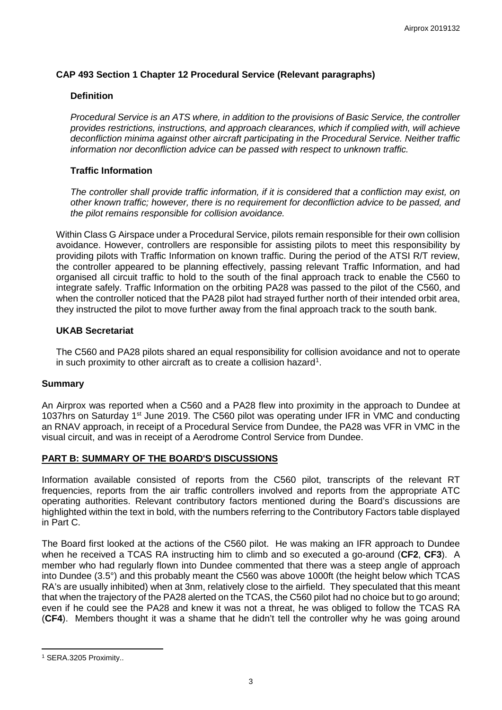### **CAP 493 Section 1 Chapter 12 Procedural Service (Relevant paragraphs)**

#### **Definition**

*Procedural Service is an ATS where, in addition to the provisions of Basic Service, the controller provides restrictions, instructions, and approach clearances, which if complied with, will achieve deconfliction minima against other aircraft participating in the Procedural Service. Neither traffic information nor deconfliction advice can be passed with respect to unknown traffic.* 

#### **Traffic Information**

*The controller shall provide traffic information, if it is considered that a confliction may exist, on other known traffic; however, there is no requirement for deconfliction advice to be passed, and the pilot remains responsible for collision avoidance.* 

Within Class G Airspace under a Procedural Service, pilots remain responsible for their own collision avoidance. However, controllers are responsible for assisting pilots to meet this responsibility by providing pilots with Traffic Information on known traffic. During the period of the ATSI R/T review, the controller appeared to be planning effectively, passing relevant Traffic Information, and had organised all circuit traffic to hold to the south of the final approach track to enable the C560 to integrate safely. Traffic Information on the orbiting PA28 was passed to the pilot of the C560, and when the controller noticed that the PA28 pilot had strayed further north of their intended orbit area, they instructed the pilot to move further away from the final approach track to the south bank.

#### **UKAB Secretariat**

The C560 and PA28 pilots shared an equal responsibility for collision avoidance and not to operate in such proximity to other aircraft as to create a collision hazard<sup>[1](#page-2-0)</sup>.

#### **Summary**

An Airprox was reported when a C560 and a PA28 flew into proximity in the approach to Dundee at 1037hrs on Saturday 1<sup>st</sup> June 2019. The C560 pilot was operating under IFR in VMC and conducting an RNAV approach, in receipt of a Procedural Service from Dundee, the PA28 was VFR in VMC in the visual circuit, and was in receipt of a Aerodrome Control Service from Dundee.

#### **PART B: SUMMARY OF THE BOARD'S DISCUSSIONS**

Information available consisted of reports from the C560 pilot, transcripts of the relevant RT frequencies, reports from the air traffic controllers involved and reports from the appropriate ATC operating authorities. Relevant contributory factors mentioned during the Board's discussions are highlighted within the text in bold, with the numbers referring to the Contributory Factors table displayed in Part C.

The Board first looked at the actions of the C560 pilot. He was making an IFR approach to Dundee when he received a TCAS RA instructing him to climb and so executed a go-around (**CF2**, **CF3**). A member who had regularly flown into Dundee commented that there was a steep angle of approach into Dundee (3.5°) and this probably meant the C560 was above 1000ft (the height below which TCAS RA's are usually inhibited) when at 3nm, relatively close to the airfield. They speculated that this meant that when the trajectory of the PA28 alerted on the TCAS, the C560 pilot had no choice but to go around; even if he could see the PA28 and knew it was not a threat, he was obliged to follow the TCAS RA (**CF4**). Members thought it was a shame that he didn't tell the controller why he was going around

l

<span id="page-2-0"></span><sup>1</sup> SERA.3205 Proximity..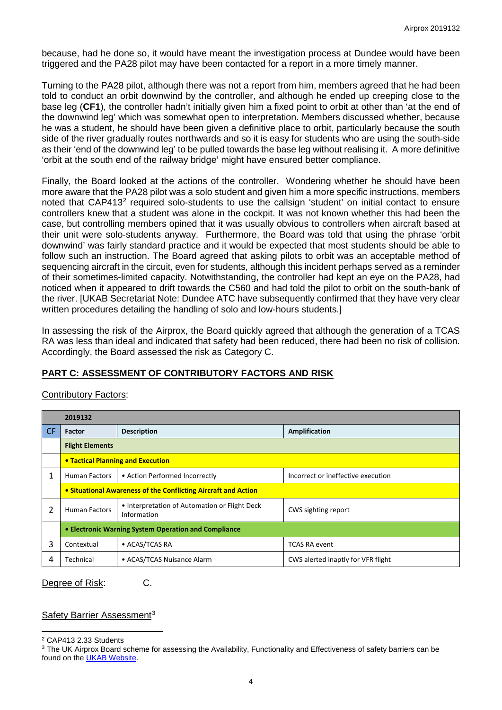because, had he done so, it would have meant the investigation process at Dundee would have been triggered and the PA28 pilot may have been contacted for a report in a more timely manner.

Turning to the PA28 pilot, although there was not a report from him, members agreed that he had been told to conduct an orbit downwind by the controller, and although he ended up creeping close to the base leg (**CF1**), the controller hadn't initially given him a fixed point to orbit at other than 'at the end of the downwind leg' which was somewhat open to interpretation. Members discussed whether, because he was a student, he should have been given a definitive place to orbit, particularly because the south side of the river gradually routes northwards and so it is easy for students who are using the south-side as their 'end of the downwind leg' to be pulled towards the base leg without realising it. A more definitive 'orbit at the south end of the railway bridge' might have ensured better compliance.

Finally, the Board looked at the actions of the controller. Wondering whether he should have been more aware that the PA28 pilot was a solo student and given him a more specific instructions, members noted that CAP413<sup>[2](#page-3-0)</sup> required solo-students to use the callsign 'student' on initial contact to ensure controllers knew that a student was alone in the cockpit. It was not known whether this had been the case, but controlling members opined that it was usually obvious to controllers when aircraft based at their unit were solo-students anyway. Furthermore, the Board was told that using the phrase 'orbit downwind' was fairly standard practice and it would be expected that most students should be able to follow such an instruction. The Board agreed that asking pilots to orbit was an acceptable method of sequencing aircraft in the circuit, even for students, although this incident perhaps served as a reminder of their sometimes-limited capacity. Notwithstanding, the controller had kept an eye on the PA28, had noticed when it appeared to drift towards the C560 and had told the pilot to orbit on the south-bank of the river. [UKAB Secretariat Note: Dundee ATC have subsequently confirmed that they have very clear written procedures detailing the handling of solo and low-hours students.]

In assessing the risk of the Airprox, the Board quickly agreed that although the generation of a TCAS RA was less than ideal and indicated that safety had been reduced, there had been no risk of collision. Accordingly, the Board assessed the risk as Category C.

### **PART C: ASSESSMENT OF CONTRIBUTORY FACTORS AND RISK**

#### Contributory Factors:

|     | 2019132                                                                              |                                |                                    |  |  |  |  |  |
|-----|--------------------------------------------------------------------------------------|--------------------------------|------------------------------------|--|--|--|--|--|
| CF. | Factor                                                                               | <b>Description</b>             | <b>Amplification</b>               |  |  |  |  |  |
|     | <b>Flight Elements</b>                                                               |                                |                                    |  |  |  |  |  |
|     | <b>• Tactical Planning and Execution</b>                                             |                                |                                    |  |  |  |  |  |
| 1   | <b>Human Factors</b>                                                                 | • Action Performed Incorrectly | Incorrect or ineffective execution |  |  |  |  |  |
|     | • Situational Awareness of the Conflicting Aircraft and Action                       |                                |                                    |  |  |  |  |  |
| 2   | • Interpretation of Automation or Flight Deck<br><b>Human Factors</b><br>Information |                                | CWS sighting report                |  |  |  |  |  |
|     | • Electronic Warning System Operation and Compliance                                 |                                |                                    |  |  |  |  |  |
| 3   | Contextual                                                                           | • ACAS/TCAS RA                 | <b>TCAS RA event</b>               |  |  |  |  |  |
| 4   | Technical<br>• ACAS/TCAS Nuisance Alarm                                              |                                | CWS alerted inaptly for VFR flight |  |  |  |  |  |

Degree of Risk: C.

#### Safety Barrier Assessment<sup>[3](#page-3-1)</sup>

l <sup>2</sup> CAP413 2.33 Students

<span id="page-3-1"></span><span id="page-3-0"></span><sup>&</sup>lt;sup>3</sup> The UK Airprox Board scheme for assessing the Availability, Functionality and Effectiveness of safety barriers can be found on the [UKAB Website.](http://www.airproxboard.org.uk/Learn-more/Airprox-Barrier-Assessment/)